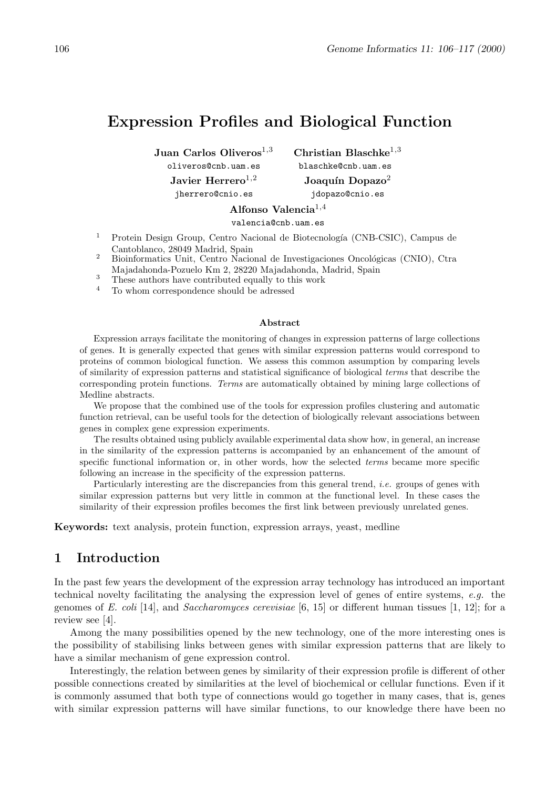# **Expression Profiles and Biological Function**

**Juan Carlos Oliveros**1*,*3 **Christian Blaschke**1*,*3 oliveros@cnb.uam.es blaschke@cnb.uam.es **Javier Herrero**<sup>1,2</sup> **Joaquín Dopazo**<sup>2</sup> jherrero@cnio.es jdopazo@cnio.es

**Alfonso Valencia**1*,*4

valencia@cnb.uam.es

- Protein Design Group, Centro Nacional de Biotecnología (CNB-CSIC), Campus de Cantoblanco, 28049 Madrid, Spain
- <sup>2</sup> Bioinformatics Unit, Centro Nacional de Investigaciones Oncológicas (CNIO), Ctra Majadahonda-Pozuelo Km2, 28220 Majadahonda, Madrid, Spain <sup>3</sup> These authors have contributed equally to this work
- 
- <sup>4</sup> To whom correspondence should be adressed

#### **Abstract**

Expression arrays facilitate the monitoring of changes in expression patterns of large collections of genes. It is generally expected that genes with similar expression patterns would correspond to proteins of common biological function. We assess this common assumption by comparing levels of similarity of expression patterns and statistical significance of biological *terms* that describe the corresponding protein functions. *Terms* are automatically obtained by mining large collections of Medline abstracts.

We propose that the combined use of the tools for expression profiles clustering and automatic function retrieval, can be useful tools for the detection of biologically relevant associations between genes in complex gene expression experiments.

The results obtained using publicly available experimental data show how, in general, an increase in the similarity of the expression patterns is accompanied by an enhancement of the amount of specific functional information or, in other words, how the selected *terms* became more specific following an increase in the specificity of the expression patterns.

Particularly interesting are the discrepancies fromthis general trend, *i.e.* groups of genes with similar expression patterns but very little in common at the functional level. In these cases the similarity of their expression profiles becomes the first link between previously unrelated genes.

**Keywords:** text analysis, protein function, expression arrays, yeast, medline

## **1 Introduction**

In the past few years the development of the expression array technology has introduced an important technical novelty facilitating the analysing the expression level of genes of entire systems, *e.g.* the genomes of *E. coli* [14], and *Saccharomyces cerevisiae* [6, 15] or different human tissues [1, 12]; for a review see [4].

Among the many possibilities opened by the new technology, one of the more interesting ones is the possibility of stabilising links between genes with similar expression patterns that are likely to have a similar mechanism of gene expression control.

Interestingly, the relation between genes by similarity of their expression profile is different of other possible connections created by similarities at the level of biochemical or cellular functions. Even if it is commonly assumed that both type of connections would go together in many cases, that is, genes with similar expression patterns will have similar functions, to our knowledge there have been no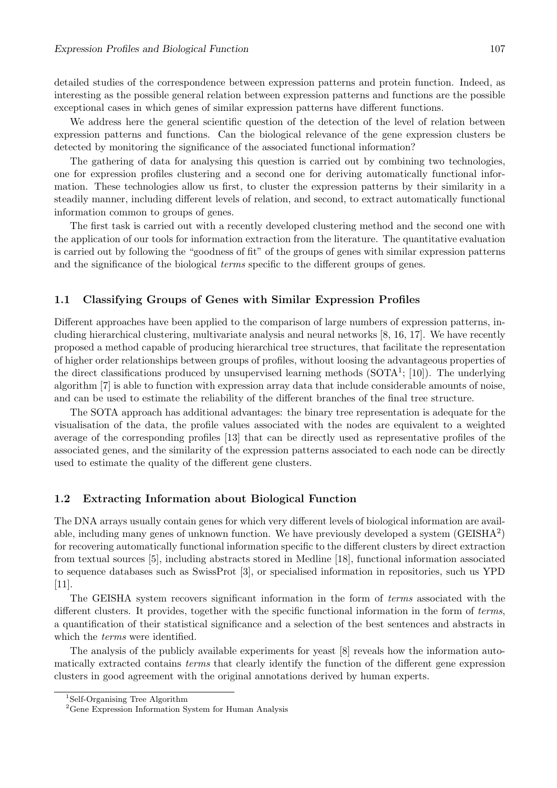detailed studies of the correspondence between expression patterns and protein function. Indeed, as interesting as the possible general relation between expression patterns and functions are the possible exceptional cases in which genes of similar expression patterns have different functions.

We address here the general scientific question of the detection of the level of relation between expression patterns and functions. Can the biological relevance of the gene expression clusters be detected by monitoring the significance of the associated functional information?

The gathering of data for analysing this question is carried out by combining two technologies, one for expression profiles clustering and a second one for deriving automatically functional information. These technologies allow us first, to cluster the expression patterns by their similarity in a steadily manner, including different levels of relation, and second, to extract automatically functional information common to groups of genes.

The first task is carried out with a recently developed clustering method and the second one with the application of our tools for information extraction from the literature. The quantitative evaluation is carried out by following the "goodness of fit" of the groups of genes with similar expression patterns and the significance of the biological *terms* specific to the different groups of genes.

#### **1.1 Classifying Groups of Genes with Similar Expression Profiles**

Different approaches have been applied to the comparison of large numbers of expression patterns, including hierarchical clustering, multivariate analysis and neural networks [8, 16, 17]. We have recently proposed a method capable of producing hierarchical tree structures, that facilitate the representation of higher order relationships between groups of profiles, without loosing the advantageous properties of the direct classifications produced by unsupervised learning methods  $(SOTA<sup>1</sup>; [10])$ . The underlying algorithm [7] is able to function with expression array data that include considerable amounts of noise, and can be used to estimate the reliability of the different branches of the final tree structure.

The SOTA approach has additional advantages: the binary tree representation is adequate for the visualisation of the data, the profile values associated with the nodes are equivalent to a weighted average of the corresponding profiles [13] that can be directly used as representative profiles of the associated genes, and the similarity of the expression patterns associated to each node can be directly used to estimate the quality of the different gene clusters.

#### **1.2 Extracting Information about Biological Function**

The DNA arrays usually contain genes for which very different levels of biological information are available, including many genes of unknown function. We have previously developed a system  $(GEISHA<sup>2</sup>)$ for recovering automatically functional information specific to the different clusters by direct extraction from textual sources [5], including abstracts stored in Medline [18], functional information associated to sequence databases such as SwissProt [3], or specialised information in repositories, such us YPD [11].

The GEISHA system recovers significant information in the form of *terms* associated with the different clusters. It provides, together with the specific functional information in the form of *terms*, a quantification of their statistical significance and a selection of the best sentences and abstracts in which the *terms* were identified.

The analysis of the publicly available experiments for yeast [8] reveals how the information automatically extracted contains *terms* that clearly identify the function of the different gene expression clusters in good agreement with the original annotations derived by human experts.

<sup>&</sup>lt;sup>1</sup>Self-Organising Tree Algorithm

 $\frac{2}{3}$ Cone Expression Information S Gene Expression Information System for Human Analysis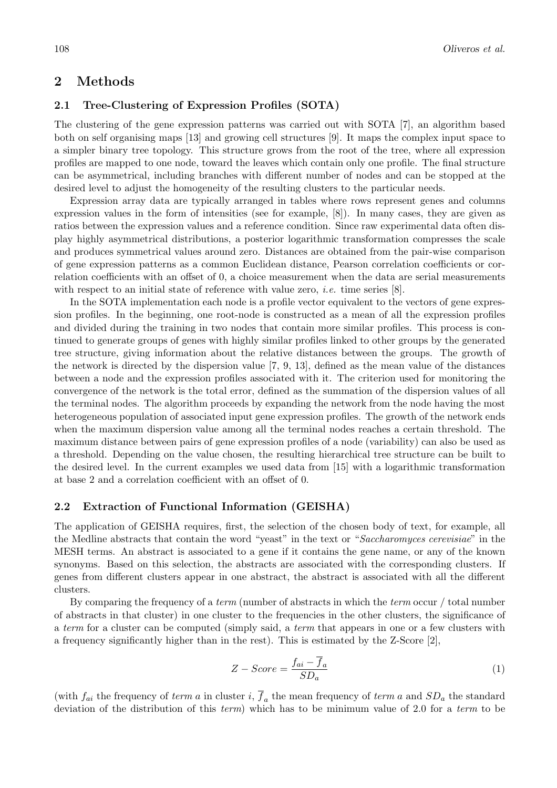## **2 Methods**

#### **2.1 Tree-Clustering of Expression Profiles (SOTA)**

The clustering of the gene expression patterns was carried out with SOTA [7], an algorithm based both on self organising maps [13] and growing cell structures [9]. It maps the complex input space to a simpler binary tree topology. This structure grows from the root of the tree, where all expression profiles are mapped to one node, toward the leaves which contain only one profile. The final structure can be asymmetrical, including branches with different number of nodes and can be stopped at the desired level to adjust the homogeneity of the resulting clusters to the particular needs.

Expression array data are typically arranged in tables where rows represent genes and columns expression values in the form of intensities (see for example, [8]). In many cases, they are given as ratios between the expression values and a reference condition. Since raw experimental data often display highly asymmetrical distributions, a posterior logarithmic transformation compresses the scale and produces symmetrical values around zero. Distances are obtained from the pair-wise comparison of gene expression patterns as a common Euclidean distance, Pearson correlation coefficients or correlation coefficients with an offset of 0, a choice measurement when the data are serial measurements with respect to an initial state of reference with value zero, *i.e.* time series [8].

In the SOTA implementation each node is a profile vector equivalent to the vectors of gene expression profiles. In the beginning, one root-node is constructed as a mean of all the expression profiles and divided during the training in two nodes that contain more similar profiles. This process is continued to generate groups of genes with highly similar profiles linked to other groups by the generated tree structure, giving information about the relative distances between the groups. The growth of the network is directed by the dispersion value [7, 9, 13], defined as the mean value of the distances between a node and the expression profiles associated with it. The criterion used for monitoring the convergence of the network is the total error, defined as the summation of the dispersion values of all the terminal nodes. The algorithm proceeds by expanding the network from the node having the most heterogeneous population of associated input gene expression profiles. The growth of the network ends when the maximum dispersion value among all the terminal nodes reaches a certain threshold. The maximum distance between pairs of gene expression profiles of a node (variability) can also be used as a threshold. Depending on the value chosen, the resulting hierarchical tree structure can be built to the desired level. In the current examples we used data from [15] with a logarithmic transformation at base 2 and a correlation coefficient with an offset of 0.

#### **2.2 Extraction of Functional Information (GEISHA)**

The application of GEISHA requires, first, the selection of the chosen body of text, for example, all the Medline abstracts that contain the word "yeast" in the text or "*Saccharomyces cerevisiae*" in the MESH terms. An abstract is associated to a gene if it contains the gene name, or any of the known synonyms. Based on this selection, the abstracts are associated with the corresponding clusters. If genes from different clusters appear in one abstract, the abstract is associated with all the different clusters.

By comparing the frequency of a *term* (number of abstracts in which the *term* occur / total number of abstracts in that cluster) in one cluster to the frequencies in the other clusters, the significance of a *term* for a cluster can be computed (simply said, a *term* that appears in one or a few clusters with a frequency significantly higher than in the rest). This is estimated by the Z-Score [2],

$$
Z - Score = \frac{f_{ai} - f_a}{SD_a} \tag{1}
$$

(with  $f_{ai}$  the frequency of *term a* in cluster *i*,  $\overline{f}_a$  the mean frequency of *term a* and  $SD_a$  the standard deviation of the distribution of this *term*) which has to be minimum value of 2.0 for a *term* to be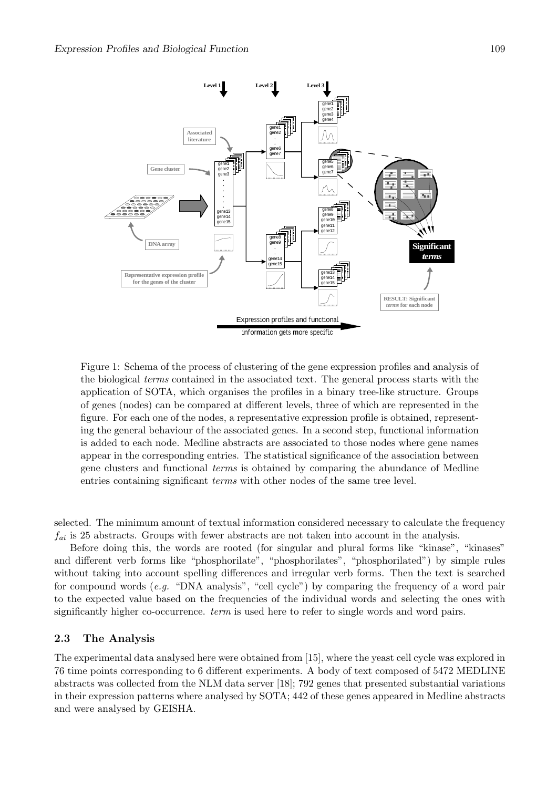

Figure 1: Schema of the process of clustering of the gene expression profiles and analysis of the biological *terms* contained in the associated text. The general process starts with the application of SOTA, which organises the profiles in a binary tree-like structure. Groups of genes (nodes) can be compared at different levels, three of which are represented in the figure. For each one of the nodes, a representative expression profile is obtained, representing the general behaviour of the associated genes. In a second step, functional information is added to each node. Medline abstracts are associated to those nodes where gene names appear in the corresponding entries. The statistical significance of the association between gene clusters and functional *terms* is obtained by comparing the abundance of Medline entries containing significant *terms* with other nodes of the same tree level.

selected. The minimum amount of textual information considered necessary to calculate the frequency *fai* is 25 abstracts. Groups with fewer abstracts are not taken into account in the analysis.

Before doing this, the words are rooted (for singular and plural forms like "kinase", "kinases" and different verb forms like "phosphorilate", "phosphorilates", "phosphorilated") by simple rules without taking into account spelling differences and irregular verb forms. Then the text is searched for compound words (*e.g.* "DNA analysis", "cell cycle") by comparing the frequency of a word pair to the expected value based on the frequencies of the individual words and selecting the ones with significantly higher co-occurrence. *term* is used here to refer to single words and word pairs.

#### **2.3 The Analysis**

The experimental data analysed here were obtained from [15], where the yeast cell cycle was explored in 76 time points corresponding to 6 different experiments. A body of text composed of 5472 MEDLINE abstracts was collected from the NLM data server [18]; 792 genes that presented substantial variations in their expression patterns where analysed by SOTA; 442 of these genes appeared in Medline abstracts and were analysed by GEISHA.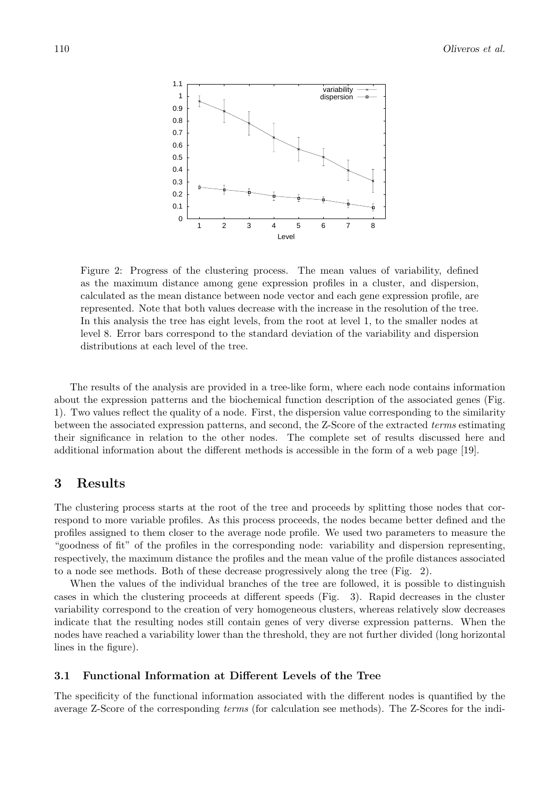

Figure 2: Progress of the clustering process. The mean values of variability, defined as the maximum distance among gene expression profiles in a cluster, and dispersion, calculated as the mean distance between node vector and each gene expression profile, are represented. Note that both values decrease with the increase in the resolution of the tree. In this analysis the tree has eight levels, from the root at level 1, to the smaller nodes at level 8. Error bars correspond to the standard deviation of the variability and dispersion distributions at each level of the tree.

The results of the analysis are provided in a tree-like form, where each node contains information about the expression patterns and the biochemical function description of the associated genes (Fig. 1). Two values reflect the quality of a node. First, the dispersion value corresponding to the similarity between the associated expression patterns, and second, the Z-Score of the extracted *terms* estimating their significance in relation to the other nodes. The complete set of results discussed here and additional information about the different methods is accessible in the form of a web page [19].

## **3 Results**

The clustering process starts at the root of the tree and proceeds by splitting those nodes that correspond to more variable profiles. As this process proceeds, the nodes became better defined and the profiles assigned to them closer to the average node profile. We used two parameters to measure the "goodness of fit" of the profiles in the corresponding node: variability and dispersion representing, respectively, the maximum distance the profiles and the mean value of the profile distances associated to a node see methods. Both of these decrease progressively along the tree (Fig. 2).

When the values of the individual branches of the tree are followed, it is possible to distinguish cases in which the clustering proceeds at different speeds (Fig. 3). Rapid decreases in the cluster variability correspond to the creation of very homogeneous clusters, whereas relatively slow decreases indicate that the resulting nodes still contain genes of very diverse expression patterns. When the nodes have reached a variability lower than the threshold, they are not further divided (long horizontal lines in the figure).

#### **3.1 Functional Information at Different Levels of the Tree**

The specificity of the functional information associated with the different nodes is quantified by the average Z-Score of the corresponding *terms* (for calculation see methods). The Z-Scores for the indi-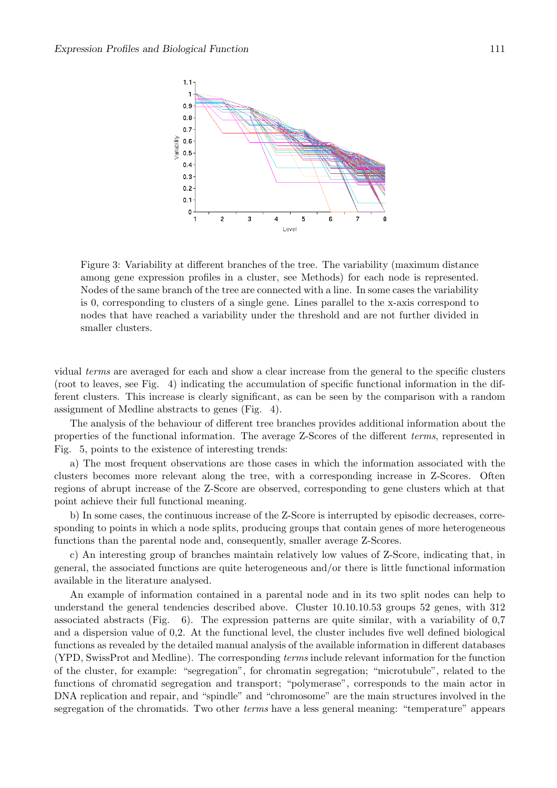

Figure 3: Variability at different branches of the tree. The variability (maximum distance among gene expression profiles in a cluster, see Methods) for each node is represented. Nodes of the same branch of the tree are connected with a line. In some cases the variability is 0, corresponding to clusters of a single gene. Lines parallel to the x-axis correspond to nodes that have reached a variability under the threshold and are not further divided in smaller clusters.

vidual *terms* are averaged for each and show a clear increase from the general to the specific clusters (root to leaves, see Fig. 4) indicating the accumulation of specific functional information in the different clusters. This increase is clearly significant, as can be seen by the comparison with a random assignment of Medline abstracts to genes (Fig. 4).

The analysis of the behaviour of different tree branches provides additional information about the properties of the functional information. The average Z-Scores of the different *terms*, represented in Fig. 5, points to the existence of interesting trends:

a) The most frequent observations are those cases in which the information associated with the clusters becomes more relevant along the tree, with a corresponding increase in Z-Scores. Often regions of abrupt increase of the Z-Score are observed, corresponding to gene clusters which at that point achieve their full functional meaning.

b) In some cases, the continuous increase of the Z-Score is interrupted by episodic decreases, corresponding to points in which a node splits, producing groups that contain genes of more heterogeneous functions than the parental node and, consequently, smaller average Z-Scores.

c) An interesting group of branches maintain relatively low values of Z-Score, indicating that, in general, the associated functions are quite heterogeneous and/or there is little functional information available in the literature analysed.

An example of information contained in a parental node and in its two split nodes can help to understand the general tendencies described above. Cluster 10.10.10.53 groups 52 genes, with 312 associated abstracts (Fig. 6). The expression patterns are quite similar, with a variability of 0,7 and a dispersion value of 0,2. At the functional level, the cluster includes five well defined biological functions as revealed by the detailed manual analysis of the available information in different databases (YPD, SwissProt and Medline). The corresponding *terms* include relevant information for the function of the cluster, for example: "segregation", for chromatin segregation; "microtubule", related to the functions of chromatid segregation and transport; "polymerase", corresponds to the main actor in DNA replication and repair, and "spindle" and "chromosome" are the main structures involved in the segregation of the chromatids. Two other *terms* have a less general meaning: "temperature" appears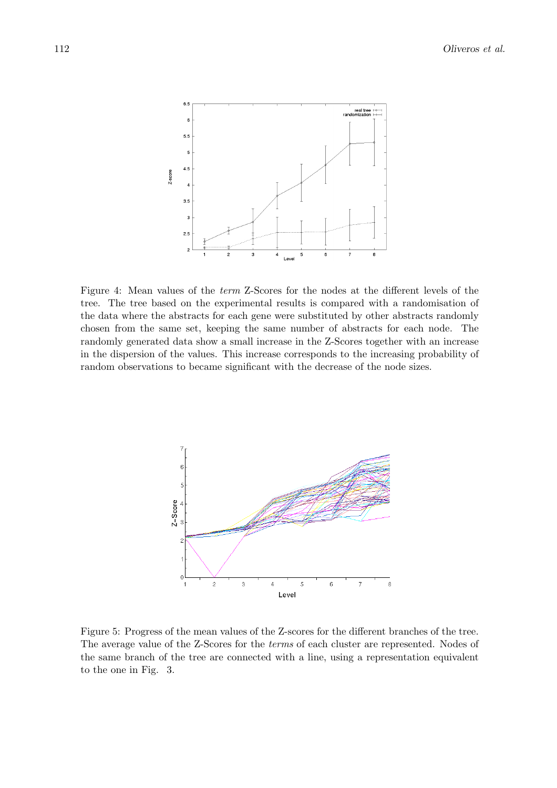

Figure 4: Mean values of the *term* Z-Scores for the nodes at the different levels of the tree. The tree based on the experimental results is compared with a randomisation of the data where the abstracts for each gene were substituted by other abstracts randomly chosen from the same set, keeping the same number of abstracts for each node. The randomly generated data show a small increase in the Z-Scores together with an increase in the dispersion of the values. This increase corresponds to the increasing probability of random observations to became significant with the decrease of the node sizes.



Figure 5: Progress of the mean values of the Z-scores for the different branches of the tree. The average value of the Z-Scores for the *terms* of each cluster are represented. Nodes of the same branch of the tree are connected with a line, using a representation equivalent to the one in Fig. 3.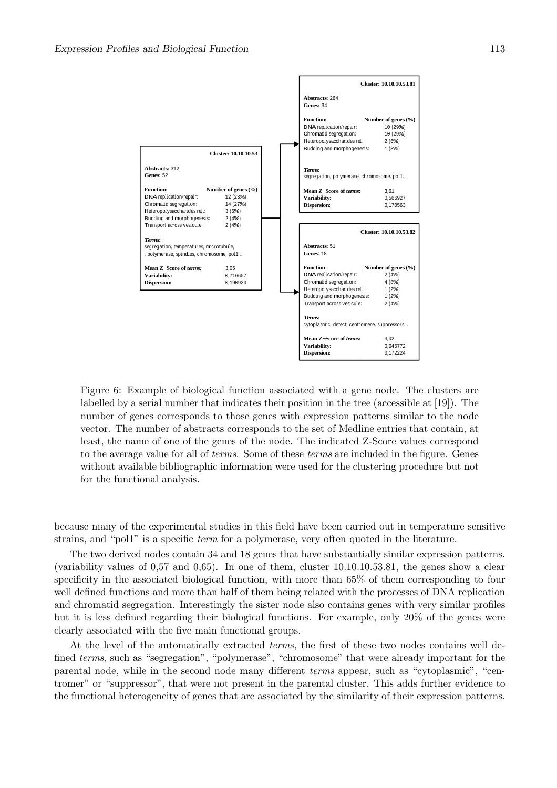

Figure 6: Example of biological function associated with a gene node. The clusters are labelled by a serial number that indicates their position in the tree (accessible at [19]). The number of genes corresponds to those genes with expression patterns similar to the node vector. The number of abstracts corresponds to the set of Medline entries that contain, at least, the name of one of the genes of the node. The indicated Z-Score values correspond to the average value for all of *terms*. Some of these *terms* are included in the figure. Genes without available bibliographic information were used for the clustering procedure but not for the functional analysis.

because many of the experimental studies in this field have been carried out in temperature sensitive strains, and "pol1" is a specific *term* for a polymerase, very often quoted in the literature.

The two derived nodes contain 34 and 18 genes that have substantially similar expression patterns. (variability values of 0,57 and 0,65). In one of them, cluster 10.10.10.53.81, the genes show a clear specificity in the associated biological function, with more than 65% of them corresponding to four well defined functions and more than half of them being related with the processes of DNA replication and chromatid segregation. Interestingly the sister node also contains genes with very similar profiles but it is less defined regarding their biological functions. For example, only 20% of the genes were clearly associated with the five main functional groups.

At the level of the automatically extracted *terms*, the first of these two nodes contains well defined *terms*, such as "segregation", "polymerase", "chromosome" that were already important for the parental node, while in the second node many different *terms* appear, such as "cytoplasmic", "centromer" or "suppressor", that were not present in the parental cluster. This adds further evidence to the functional heterogeneity of genes that are associated by the similarity of their expression patterns.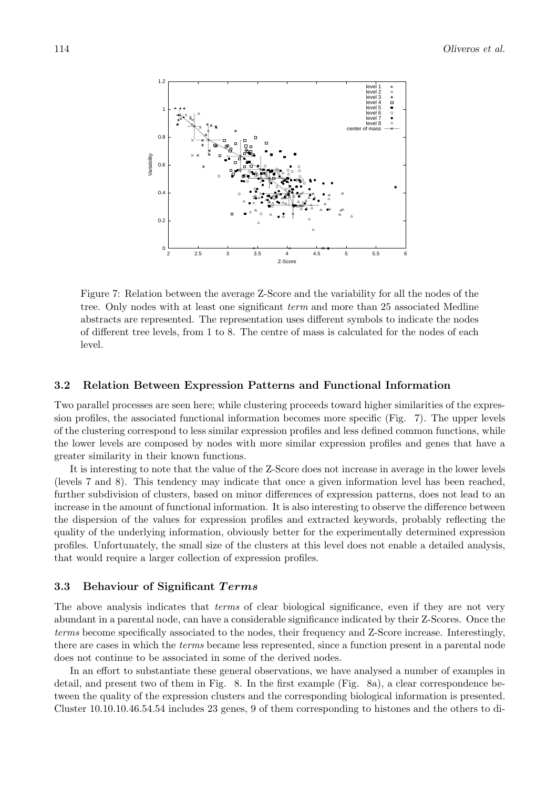

Figure 7: Relation between the average Z-Score and the variability for all the nodes of the tree. Only nodes with at least one significant *term* and more than 25 associated Medline abstracts are represented. The representation uses different symbols to indicate the nodes of different tree levels, from 1 to 8. The centre of mass is calculated for the nodes of each level.

### **3.2 Relation Between Expression Patterns and Functional Information**

Two parallel processes are seen here; while clustering proceeds toward higher similarities of the expression profiles, the associated functional information becomes more specific (Fig. 7). The upper levels of the clustering correspond to less similar expression profiles and less defined common functions, while the lower levels are composed by nodes with more similar expression profiles and genes that have a greater similarity in their known functions.

It is interesting to note that the value of the Z-Score does not increase in average in the lower levels (levels 7 and 8). This tendency may indicate that once a given information level has been reached, further subdivision of clusters, based on minor differences of expression patterns, does not lead to an increase in the amount of functional information. It is also interesting to observe the difference between the dispersion of the values for expression profiles and extracted keywords, probably reflecting the quality of the underlying information, obviously better for the experimentally determined expression profiles. Unfortunately, the small size of the clusters at this level does not enable a detailed analysis, that would require a larger collection of expression profiles.

#### **3.3 Behaviour of Significant** *T erms*

The above analysis indicates that *terms* of clear biological significance, even if they are not very abundant in a parental node, can have a considerable significance indicated by their Z-Scores. Once the *terms* become specifically associated to the nodes, their frequency and Z-Score increase. Interestingly, there are cases in which the *terms* became less represented, since a function present in a parental node does not continue to be associated in some of the derived nodes.

In an effort to substantiate these general observations, we have analysed a number of examples in detail, and present two of them in Fig. 8. In the first example (Fig. 8a), a clear correspondence between the quality of the expression clusters and the corresponding biological information is presented. Cluster 10.10.10.46.54.54 includes 23 genes, 9 of them corresponding to histones and the others to di-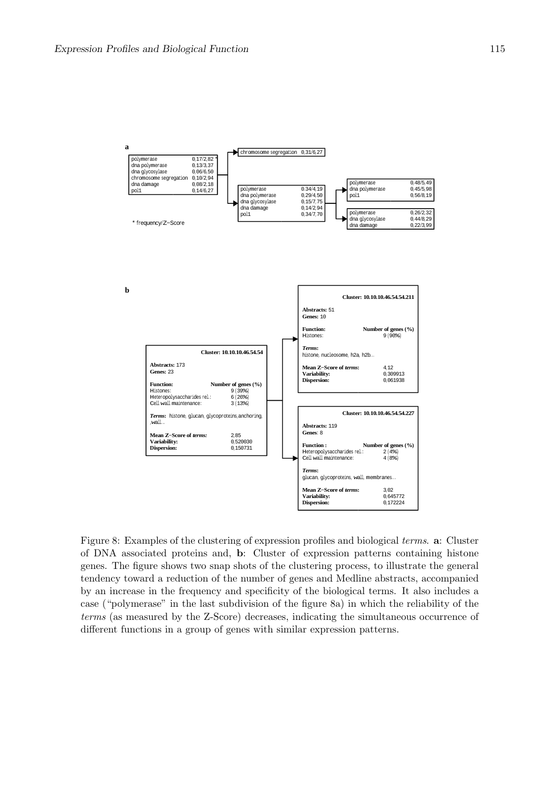

Figure 8: Examples of the clustering of expression profiles and biological *terms*. **a**: Cluster of DNA associated proteins and, **b**: Cluster of expression patterns containing histone genes. The figure shows two snap shots of the clustering process, to illustrate the general tendency toward a reduction of the number of genes and Medline abstracts, accompanied by an increase in the frequency and specificity of the biological terms. It also includes a case ("polymerase" in the last subdivision of the figure 8a) in which the reliability of the *terms* (as measured by the Z-Score) decreases, indicating the simultaneous occurrence of different functions in a group of genes with similar expression patterns.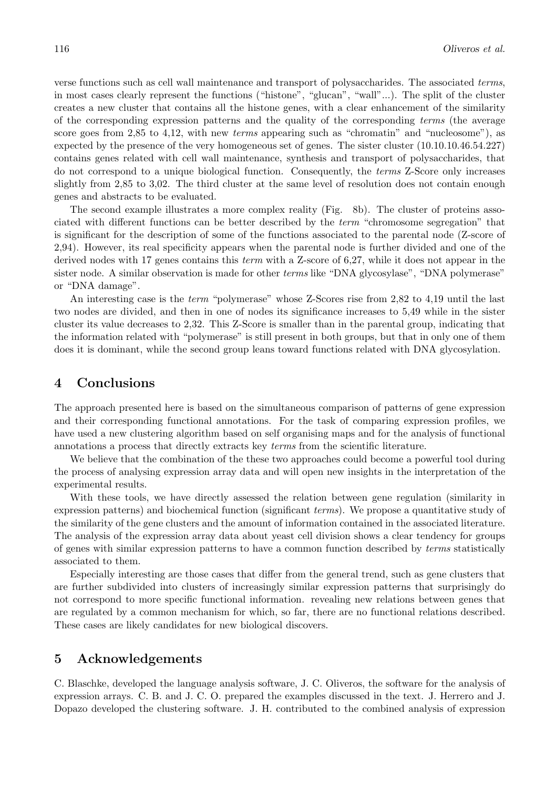verse functions such as cell wall maintenance and transport of polysaccharides. The associated *terms*, in most cases clearly represent the functions ("histone", "glucan", "wall"...). The split of the cluster creates a new cluster that contains all the histone genes, with a clear enhancement of the similarity of the corresponding expression patterns and the quality of the corresponding *terms* (the average score goes from 2,85 to 4,12, with new *terms* appearing such as "chromatin" and "nucleosome"), as expected by the presence of the very homogeneous set of genes. The sister cluster (10.10.10.46.54.227) contains genes related with cell wall maintenance, synthesis and transport of polysaccharides, that do not correspond to a unique biological function. Consequently, the *terms* Z-Score only increases slightly from 2,85 to 3,02. The third cluster at the same level of resolution does not contain enough genes and abstracts to be evaluated.

The second example illustrates a more complex reality (Fig. 8b). The cluster of proteins associated with different functions can be better described by the *term* "chromosome segregation" that is significant for the description of some of the functions associated to the parental node (Z-score of 2,94). However, its real specificity appears when the parental node is further divided and one of the derived nodes with 17 genes contains this *term* with a Z-score of 6,27, while it does not appear in the sister node. A similar observation is made for other *terms* like "DNA glycosylase", "DNA polymerase" or "DNA damage".

An interesting case is the *term* "polymerase" whose Z-Scores rise from 2,82 to 4,19 until the last two nodes are divided, and then in one of nodes its significance increases to 5,49 while in the sister cluster its value decreases to 2,32. This Z-Score is smaller than in the parental group, indicating that the information related with "polymerase" is still present in both groups, but that in only one of them does it is dominant, while the second group leans toward functions related with DNA glycosylation.

## **4 Conclusions**

The approach presented here is based on the simultaneous comparison of patterns of gene expression and their corresponding functional annotations. For the task of comparing expression profiles, we have used a new clustering algorithm based on self organising maps and for the analysis of functional annotations a process that directly extracts key *terms* from the scientific literature.

We believe that the combination of the these two approaches could become a powerful tool during the process of analysing expression array data and will open new insights in the interpretation of the experimental results.

With these tools, we have directly assessed the relation between gene regulation (similarity in expression patterns) and biochemical function (significant *terms*). We propose a quantitative study of the similarity of the gene clusters and the amount of information contained in the associated literature. The analysis of the expression array data about yeast cell division shows a clear tendency for groups of genes with similar expression patterns to have a common function described by *terms* statistically associated to them.

Especially interesting are those cases that differ from the general trend, such as gene clusters that are further subdivided into clusters of increasingly similar expression patterns that surprisingly do not correspond to more specific functional information. revealing new relations between genes that are regulated by a common mechanism for which, so far, there are no functional relations described. These cases are likely candidates for new biological discovers.

## **5 Acknowledgements**

C. Blaschke, developed the language analysis software, J. C. Oliveros, the software for the analysis of expression arrays. C. B. and J. C. O. prepared the examples discussed in the text. J. Herrero and J. Dopazo developed the clustering software. J. H. contributed to the combined analysis of expression